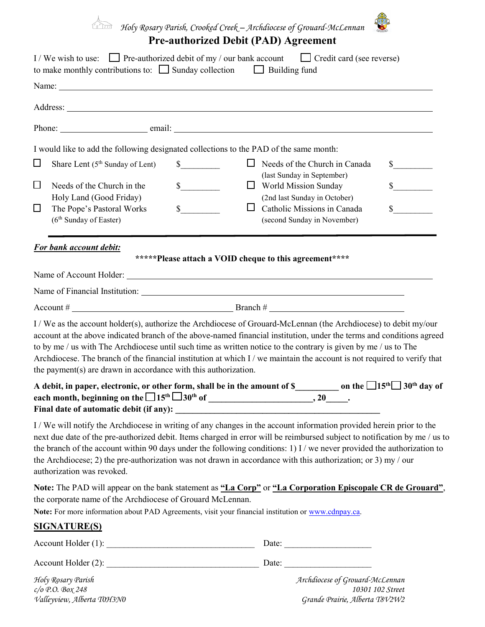

*Holy Rosary Parish, Crooked Creek – Archdiocese of Grouard-McLennan*

## **Pre-authorized Debit (PAD) Agreement**

|        | I / We wish to use: $\Box$ Pre-authorized debit of my / our bank account $\Box$ Credit card (see reverse)<br>to make monthly contributions to: $\Box$ Sunday collection $\Box$ Building fund                                                                                                                                                                                                                                                                                                                                                                                                                                                                                                    |                             |   |                                                                                    |                  |
|--------|-------------------------------------------------------------------------------------------------------------------------------------------------------------------------------------------------------------------------------------------------------------------------------------------------------------------------------------------------------------------------------------------------------------------------------------------------------------------------------------------------------------------------------------------------------------------------------------------------------------------------------------------------------------------------------------------------|-----------------------------|---|------------------------------------------------------------------------------------|------------------|
|        | Name: Name and the second contract of the second contract of the second contract of the second contract of the second contract of the second contract of the second contract of the second contract of the second contract of                                                                                                                                                                                                                                                                                                                                                                                                                                                                   |                             |   |                                                                                    |                  |
|        |                                                                                                                                                                                                                                                                                                                                                                                                                                                                                                                                                                                                                                                                                                 |                             |   |                                                                                    |                  |
|        |                                                                                                                                                                                                                                                                                                                                                                                                                                                                                                                                                                                                                                                                                                 |                             |   |                                                                                    |                  |
|        | I would like to add the following designated collections to the PAD of the same month:                                                                                                                                                                                                                                                                                                                                                                                                                                                                                                                                                                                                          |                             |   |                                                                                    |                  |
| $\Box$ | Share Lent $(5th$ Sunday of Lent)                                                                                                                                                                                                                                                                                                                                                                                                                                                                                                                                                                                                                                                               | $\frac{\text{S}}{\text{S}}$ |   | $\Box$ Needs of the Church in Canada                                               | $\sim$           |
| □      | Needs of the Church in the<br>Holy Land (Good Friday)                                                                                                                                                                                                                                                                                                                                                                                                                                                                                                                                                                                                                                           | $\frac{\text{S}}{\text{S}}$ |   | (last Sunday in September)<br>World Mission Sunday<br>(2nd last Sunday in October) | $\sim$           |
| $\Box$ | The Pope's Pastoral Works<br>(6 <sup>th</sup> Sunday of Easter)                                                                                                                                                                                                                                                                                                                                                                                                                                                                                                                                                                                                                                 | $s$ <sub>____</sub>         | ப | Catholic Missions in Canada<br>(second Sunday in November)                         | $\mathbb{S}$     |
|        | For bank account debit:                                                                                                                                                                                                                                                                                                                                                                                                                                                                                                                                                                                                                                                                         |                             |   |                                                                                    |                  |
|        |                                                                                                                                                                                                                                                                                                                                                                                                                                                                                                                                                                                                                                                                                                 |                             |   | *****Please attach a VOID cheque to this agreement****                             |                  |
|        |                                                                                                                                                                                                                                                                                                                                                                                                                                                                                                                                                                                                                                                                                                 |                             |   |                                                                                    |                  |
|        |                                                                                                                                                                                                                                                                                                                                                                                                                                                                                                                                                                                                                                                                                                 |                             |   |                                                                                    |                  |
|        | I / We as the account holder(s), authorize the Archdiocese of Grouard-McLennan (the Archdiocese) to debit my/our<br>account at the above indicated branch of the above-named financial institution, under the terms and conditions agreed<br>to by me / us with The Archdiocese until such time as written notice to the contrary is given by me / us to The<br>Archdiocese. The branch of the financial institution at which I / we maintain the account is not required to verify that<br>the payment(s) are drawn in accordance with this authorization.<br>A debit, in paper, electronic, or other form, shall be in the amount of \$____________ on the $\Box 15^{th} \Box 30^{th}$ day of |                             |   |                                                                                    |                  |
|        | Final date of automatic debit (if any):                                                                                                                                                                                                                                                                                                                                                                                                                                                                                                                                                                                                                                                         |                             |   |                                                                                    |                  |
|        | I/We will notify the Archdiocese in writing of any changes in the account information provided herein prior to the<br>next due date of the pre-authorized debit. Items charged in error will be reimbursed subject to notification by me / us to<br>the branch of the account within 90 days under the following conditions: 1) I / we never provided the authorization to<br>the Archdiocese; 2) the pre-authorization was not drawn in accordance with this authorization; or 3) my / our<br>authorization was revoked.                                                                                                                                                                       |                             |   |                                                                                    |                  |
|        | Note: The PAD will appear on the bank statement as "La Corp" or "La Corporation Episcopale CR de Grouard",<br>the corporate name of the Archdiocese of Grouard McLennan.<br>Note: For more information about PAD Agreements, visit your financial institution or www.cdnpay.ca.                                                                                                                                                                                                                                                                                                                                                                                                                 |                             |   |                                                                                    |                  |
|        | <b>SIGNATURE(S)</b>                                                                                                                                                                                                                                                                                                                                                                                                                                                                                                                                                                                                                                                                             |                             |   |                                                                                    |                  |
|        |                                                                                                                                                                                                                                                                                                                                                                                                                                                                                                                                                                                                                                                                                                 |                             |   |                                                                                    |                  |
|        |                                                                                                                                                                                                                                                                                                                                                                                                                                                                                                                                                                                                                                                                                                 |                             |   |                                                                                    |                  |
|        | Holy Rosary Parish<br>$c$ /o P.O. Box 248                                                                                                                                                                                                                                                                                                                                                                                                                                                                                                                                                                                                                                                       |                             |   | Archdiocese of Grouard-McLennan                                                    | 10301 102 Street |

*Valleyview, Alberta T0H3N0 Grande Prairie, Alberta T8V2W2*